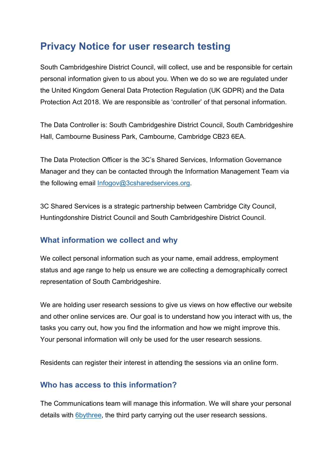## **Privacy Notice for user research testing**

South Cambridgeshire District Council, will collect, use and be responsible for certain personal information given to us about you. When we do so we are regulated under the United Kingdom General Data Protection Regulation (UK GDPR) and the Data Protection Act 2018. We are responsible as 'controller' of that personal information.

The Data Controller is: South Cambridgeshire District Council, South Cambridgeshire Hall, Cambourne Business Park, Cambourne, Cambridge CB23 6EA.

The Data Protection Officer is the 3C's Shared Services, Information Governance Manager and they can be contacted through the Information Management Team via the following email [Infogov@3csharedservices.org.](mailto:Infogov@3csharedservices.org)

3C Shared Services is a strategic partnership between Cambridge City Council, Huntingdonshire District Council and South Cambridgeshire District Council.

## **What information we collect and why**

We collect personal information such as your name, email address, employment status and age range to help us ensure we are collecting a demographically correct representation of South Cambridgeshire.

We are holding user research sessions to give us views on how effective our website and other online services are. Our goal is to understand how you interact with us, the tasks you carry out, how you find the information and how we might improve this. Your personal information will only be used for the user research sessions.

Residents can register their interest in attending the sessions via an online form.

## **Who has access to this information?**

The Communications team will manage this information. We will share your personal details with **6bythree**, the third party carrying out the user research sessions.